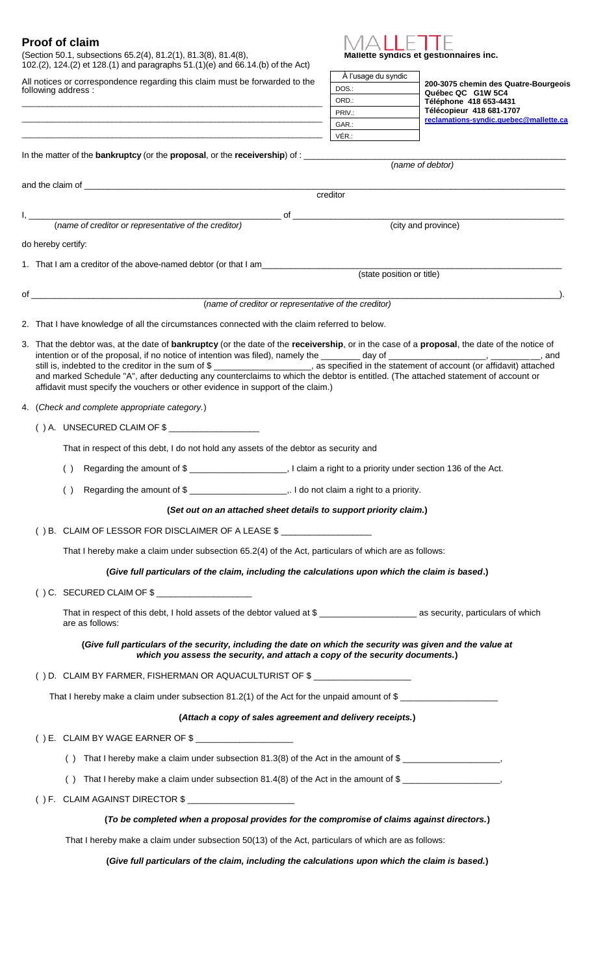(Section 50.1, subsections 65.2(4), 81.2(1), 81.3(8), 81.4(8), **Mallette syndics et gestionnaires inc.**

102.(2), 124.(2) et 128.(1) and paragraphs 51.(1)(e) and 66.14.(b) of the Act)

All notices or correspondence regarding this claim must be forwarded to the following address : \_\_\_\_\_\_\_\_\_\_\_\_\_\_\_\_\_\_\_\_\_\_\_\_\_\_\_\_\_\_\_\_\_\_\_\_\_\_\_\_\_\_\_\_\_\_\_\_\_\_\_\_\_\_\_\_\_\_\_\_\_\_\_\_\_\_\_\_\_\_

\_\_\_\_\_\_\_\_\_\_\_\_\_\_\_\_\_\_\_\_\_\_\_\_\_\_\_\_\_\_\_\_\_\_\_\_\_\_\_\_\_\_\_\_\_\_\_\_\_\_\_\_\_\_\_\_\_\_\_\_\_\_\_\_\_\_\_\_\_\_



| A l'usage du syndic |                                                                                              |  |  |
|---------------------|----------------------------------------------------------------------------------------------|--|--|
| DOS.:               | 200-3075 chemin des Quatre-Bourgeois<br>Québec QC G1W 5C4                                    |  |  |
| ORD.:               | Téléphone 418 653-4431<br>Télécopieur 418 681-1707<br>reclamations-syndic.quebec@mallette.ca |  |  |
| PRIV.:              |                                                                                              |  |  |
| GAR.:               |                                                                                              |  |  |
| VÉR ·               |                                                                                              |  |  |

| (name of debtor)<br>creditor<br>(name of creditor or representative of the creditor)<br>(city and province)<br>do hereby certify:<br>1. That I am a creditor of the above-named debtor (or that I am<br>(state position or title)<br>$of$ $\overline{\phantom{a}}$<br>(name of creditor or representative of the creditor)<br>2. That I have knowledge of all the circumstances connected with the claim referred to below.<br>3. That the debtor was, at the date of <b>bankruptcy</b> (or the date of the receivership, or in the case of a proposal, the date of the notice of<br>still is, indebted to the creditor in the sum of \$_____________________, as specified in the statement of account (or affidavit) attached<br>and marked Schedule "A", after deducting any counterclaims to which the debtor is entitled. (The attached statement of account or<br>affidavit must specify the vouchers or other evidence in support of the claim.)<br>4. (Check and complete appropriate category.)<br>$( )$ A. UNSECURED CLAIM OF $\frac{1}{2}$<br>That in respect of this debt, I do not hold any assets of the debtor as security and<br>( )<br>Regarding the amount of \$ _____________________________. I do not claim a right to a priority.<br>( )<br>(Set out on an attached sheet details to support priority claim.)<br>() B. CLAIM OF LESSOR FOR DISCLAIMER OF A LEASE \$ ___________________<br>That I hereby make a claim under subsection 65.2(4) of the Act, particulars of which are as follows:<br>(Give full particulars of the claim, including the calculations upon which the claim is based.)<br>$( ) C.$ SECURED CLAIM OF $\frac{6}{5}$<br>are as follows:<br>(Give full particulars of the security, including the date on which the security was given and the value at<br>which you assess the security, and attach a copy of the security documents.)<br>() D. CLAIM BY FARMER, FISHERMAN OR AQUACULTURIST OF \$ _________________________<br>That I hereby make a claim under subsection 81.2(1) of the Act for the unpaid amount of \$<br>(Attach a copy of sales agreement and delivery receipts.)<br>() E. CLAIM BY WAGE EARNER OF $\frac{1}{2}$ |  |
|--------------------------------------------------------------------------------------------------------------------------------------------------------------------------------------------------------------------------------------------------------------------------------------------------------------------------------------------------------------------------------------------------------------------------------------------------------------------------------------------------------------------------------------------------------------------------------------------------------------------------------------------------------------------------------------------------------------------------------------------------------------------------------------------------------------------------------------------------------------------------------------------------------------------------------------------------------------------------------------------------------------------------------------------------------------------------------------------------------------------------------------------------------------------------------------------------------------------------------------------------------------------------------------------------------------------------------------------------------------------------------------------------------------------------------------------------------------------------------------------------------------------------------------------------------------------------------------------------------------------------------------------------------------------------------------------------------------------------------------------------------------------------------------------------------------------------------------------------------------------------------------------------------------------------------------------------------------------------------------------------------------------------------------------------------------------------------------------------------------------------------------------------------------------------------------|--|
|                                                                                                                                                                                                                                                                                                                                                                                                                                                                                                                                                                                                                                                                                                                                                                                                                                                                                                                                                                                                                                                                                                                                                                                                                                                                                                                                                                                                                                                                                                                                                                                                                                                                                                                                                                                                                                                                                                                                                                                                                                                                                                                                                                                      |  |
|                                                                                                                                                                                                                                                                                                                                                                                                                                                                                                                                                                                                                                                                                                                                                                                                                                                                                                                                                                                                                                                                                                                                                                                                                                                                                                                                                                                                                                                                                                                                                                                                                                                                                                                                                                                                                                                                                                                                                                                                                                                                                                                                                                                      |  |
|                                                                                                                                                                                                                                                                                                                                                                                                                                                                                                                                                                                                                                                                                                                                                                                                                                                                                                                                                                                                                                                                                                                                                                                                                                                                                                                                                                                                                                                                                                                                                                                                                                                                                                                                                                                                                                                                                                                                                                                                                                                                                                                                                                                      |  |
|                                                                                                                                                                                                                                                                                                                                                                                                                                                                                                                                                                                                                                                                                                                                                                                                                                                                                                                                                                                                                                                                                                                                                                                                                                                                                                                                                                                                                                                                                                                                                                                                                                                                                                                                                                                                                                                                                                                                                                                                                                                                                                                                                                                      |  |
|                                                                                                                                                                                                                                                                                                                                                                                                                                                                                                                                                                                                                                                                                                                                                                                                                                                                                                                                                                                                                                                                                                                                                                                                                                                                                                                                                                                                                                                                                                                                                                                                                                                                                                                                                                                                                                                                                                                                                                                                                                                                                                                                                                                      |  |
|                                                                                                                                                                                                                                                                                                                                                                                                                                                                                                                                                                                                                                                                                                                                                                                                                                                                                                                                                                                                                                                                                                                                                                                                                                                                                                                                                                                                                                                                                                                                                                                                                                                                                                                                                                                                                                                                                                                                                                                                                                                                                                                                                                                      |  |
|                                                                                                                                                                                                                                                                                                                                                                                                                                                                                                                                                                                                                                                                                                                                                                                                                                                                                                                                                                                                                                                                                                                                                                                                                                                                                                                                                                                                                                                                                                                                                                                                                                                                                                                                                                                                                                                                                                                                                                                                                                                                                                                                                                                      |  |
|                                                                                                                                                                                                                                                                                                                                                                                                                                                                                                                                                                                                                                                                                                                                                                                                                                                                                                                                                                                                                                                                                                                                                                                                                                                                                                                                                                                                                                                                                                                                                                                                                                                                                                                                                                                                                                                                                                                                                                                                                                                                                                                                                                                      |  |
|                                                                                                                                                                                                                                                                                                                                                                                                                                                                                                                                                                                                                                                                                                                                                                                                                                                                                                                                                                                                                                                                                                                                                                                                                                                                                                                                                                                                                                                                                                                                                                                                                                                                                                                                                                                                                                                                                                                                                                                                                                                                                                                                                                                      |  |
|                                                                                                                                                                                                                                                                                                                                                                                                                                                                                                                                                                                                                                                                                                                                                                                                                                                                                                                                                                                                                                                                                                                                                                                                                                                                                                                                                                                                                                                                                                                                                                                                                                                                                                                                                                                                                                                                                                                                                                                                                                                                                                                                                                                      |  |
|                                                                                                                                                                                                                                                                                                                                                                                                                                                                                                                                                                                                                                                                                                                                                                                                                                                                                                                                                                                                                                                                                                                                                                                                                                                                                                                                                                                                                                                                                                                                                                                                                                                                                                                                                                                                                                                                                                                                                                                                                                                                                                                                                                                      |  |
|                                                                                                                                                                                                                                                                                                                                                                                                                                                                                                                                                                                                                                                                                                                                                                                                                                                                                                                                                                                                                                                                                                                                                                                                                                                                                                                                                                                                                                                                                                                                                                                                                                                                                                                                                                                                                                                                                                                                                                                                                                                                                                                                                                                      |  |
|                                                                                                                                                                                                                                                                                                                                                                                                                                                                                                                                                                                                                                                                                                                                                                                                                                                                                                                                                                                                                                                                                                                                                                                                                                                                                                                                                                                                                                                                                                                                                                                                                                                                                                                                                                                                                                                                                                                                                                                                                                                                                                                                                                                      |  |
|                                                                                                                                                                                                                                                                                                                                                                                                                                                                                                                                                                                                                                                                                                                                                                                                                                                                                                                                                                                                                                                                                                                                                                                                                                                                                                                                                                                                                                                                                                                                                                                                                                                                                                                                                                                                                                                                                                                                                                                                                                                                                                                                                                                      |  |
|                                                                                                                                                                                                                                                                                                                                                                                                                                                                                                                                                                                                                                                                                                                                                                                                                                                                                                                                                                                                                                                                                                                                                                                                                                                                                                                                                                                                                                                                                                                                                                                                                                                                                                                                                                                                                                                                                                                                                                                                                                                                                                                                                                                      |  |
|                                                                                                                                                                                                                                                                                                                                                                                                                                                                                                                                                                                                                                                                                                                                                                                                                                                                                                                                                                                                                                                                                                                                                                                                                                                                                                                                                                                                                                                                                                                                                                                                                                                                                                                                                                                                                                                                                                                                                                                                                                                                                                                                                                                      |  |
|                                                                                                                                                                                                                                                                                                                                                                                                                                                                                                                                                                                                                                                                                                                                                                                                                                                                                                                                                                                                                                                                                                                                                                                                                                                                                                                                                                                                                                                                                                                                                                                                                                                                                                                                                                                                                                                                                                                                                                                                                                                                                                                                                                                      |  |
|                                                                                                                                                                                                                                                                                                                                                                                                                                                                                                                                                                                                                                                                                                                                                                                                                                                                                                                                                                                                                                                                                                                                                                                                                                                                                                                                                                                                                                                                                                                                                                                                                                                                                                                                                                                                                                                                                                                                                                                                                                                                                                                                                                                      |  |
|                                                                                                                                                                                                                                                                                                                                                                                                                                                                                                                                                                                                                                                                                                                                                                                                                                                                                                                                                                                                                                                                                                                                                                                                                                                                                                                                                                                                                                                                                                                                                                                                                                                                                                                                                                                                                                                                                                                                                                                                                                                                                                                                                                                      |  |
|                                                                                                                                                                                                                                                                                                                                                                                                                                                                                                                                                                                                                                                                                                                                                                                                                                                                                                                                                                                                                                                                                                                                                                                                                                                                                                                                                                                                                                                                                                                                                                                                                                                                                                                                                                                                                                                                                                                                                                                                                                                                                                                                                                                      |  |
|                                                                                                                                                                                                                                                                                                                                                                                                                                                                                                                                                                                                                                                                                                                                                                                                                                                                                                                                                                                                                                                                                                                                                                                                                                                                                                                                                                                                                                                                                                                                                                                                                                                                                                                                                                                                                                                                                                                                                                                                                                                                                                                                                                                      |  |
|                                                                                                                                                                                                                                                                                                                                                                                                                                                                                                                                                                                                                                                                                                                                                                                                                                                                                                                                                                                                                                                                                                                                                                                                                                                                                                                                                                                                                                                                                                                                                                                                                                                                                                                                                                                                                                                                                                                                                                                                                                                                                                                                                                                      |  |
|                                                                                                                                                                                                                                                                                                                                                                                                                                                                                                                                                                                                                                                                                                                                                                                                                                                                                                                                                                                                                                                                                                                                                                                                                                                                                                                                                                                                                                                                                                                                                                                                                                                                                                                                                                                                                                                                                                                                                                                                                                                                                                                                                                                      |  |
|                                                                                                                                                                                                                                                                                                                                                                                                                                                                                                                                                                                                                                                                                                                                                                                                                                                                                                                                                                                                                                                                                                                                                                                                                                                                                                                                                                                                                                                                                                                                                                                                                                                                                                                                                                                                                                                                                                                                                                                                                                                                                                                                                                                      |  |
|                                                                                                                                                                                                                                                                                                                                                                                                                                                                                                                                                                                                                                                                                                                                                                                                                                                                                                                                                                                                                                                                                                                                                                                                                                                                                                                                                                                                                                                                                                                                                                                                                                                                                                                                                                                                                                                                                                                                                                                                                                                                                                                                                                                      |  |
|                                                                                                                                                                                                                                                                                                                                                                                                                                                                                                                                                                                                                                                                                                                                                                                                                                                                                                                                                                                                                                                                                                                                                                                                                                                                                                                                                                                                                                                                                                                                                                                                                                                                                                                                                                                                                                                                                                                                                                                                                                                                                                                                                                                      |  |
|                                                                                                                                                                                                                                                                                                                                                                                                                                                                                                                                                                                                                                                                                                                                                                                                                                                                                                                                                                                                                                                                                                                                                                                                                                                                                                                                                                                                                                                                                                                                                                                                                                                                                                                                                                                                                                                                                                                                                                                                                                                                                                                                                                                      |  |
| That I hereby make a claim under subsection 81.3(8) of the Act in the amount of \$                                                                                                                                                                                                                                                                                                                                                                                                                                                                                                                                                                                                                                                                                                                                                                                                                                                                                                                                                                                                                                                                                                                                                                                                                                                                                                                                                                                                                                                                                                                                                                                                                                                                                                                                                                                                                                                                                                                                                                                                                                                                                                   |  |
| That I hereby make a claim under subsection 81.4(8) of the Act in the amount of \$                                                                                                                                                                                                                                                                                                                                                                                                                                                                                                                                                                                                                                                                                                                                                                                                                                                                                                                                                                                                                                                                                                                                                                                                                                                                                                                                                                                                                                                                                                                                                                                                                                                                                                                                                                                                                                                                                                                                                                                                                                                                                                   |  |
| () F. CLAIM AGAINST DIRECTOR $$$ ______________________                                                                                                                                                                                                                                                                                                                                                                                                                                                                                                                                                                                                                                                                                                                                                                                                                                                                                                                                                                                                                                                                                                                                                                                                                                                                                                                                                                                                                                                                                                                                                                                                                                                                                                                                                                                                                                                                                                                                                                                                                                                                                                                              |  |
| (To be completed when a proposal provides for the compromise of claims against directors.)                                                                                                                                                                                                                                                                                                                                                                                                                                                                                                                                                                                                                                                                                                                                                                                                                                                                                                                                                                                                                                                                                                                                                                                                                                                                                                                                                                                                                                                                                                                                                                                                                                                                                                                                                                                                                                                                                                                                                                                                                                                                                           |  |
| That I hereby make a claim under subsection 50(13) of the Act, particulars of which are as follows:                                                                                                                                                                                                                                                                                                                                                                                                                                                                                                                                                                                                                                                                                                                                                                                                                                                                                                                                                                                                                                                                                                                                                                                                                                                                                                                                                                                                                                                                                                                                                                                                                                                                                                                                                                                                                                                                                                                                                                                                                                                                                  |  |
| (Give full particulars of the claim, including the calculations upon which the claim is based.)                                                                                                                                                                                                                                                                                                                                                                                                                                                                                                                                                                                                                                                                                                                                                                                                                                                                                                                                                                                                                                                                                                                                                                                                                                                                                                                                                                                                                                                                                                                                                                                                                                                                                                                                                                                                                                                                                                                                                                                                                                                                                      |  |